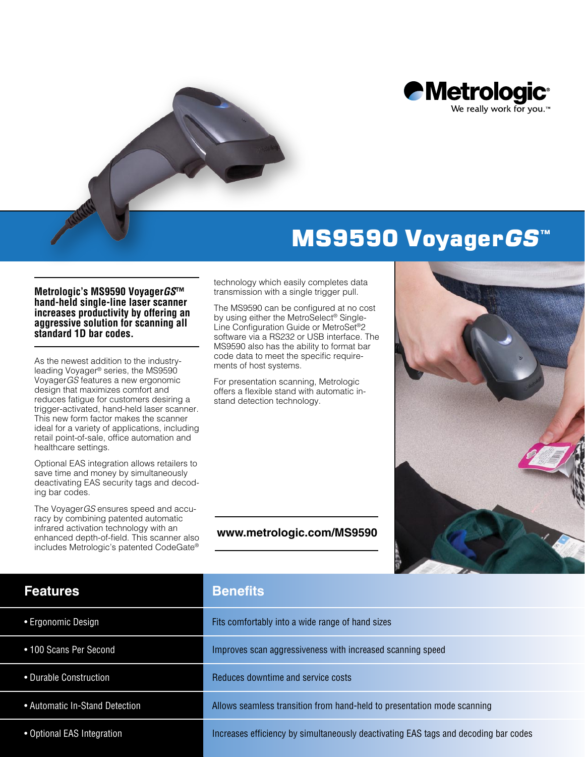

## MS9590 VoyagerGS<sup>™</sup>

## **Metrologic's MS9590 Voyager***GS***™ hand-held single-line laser scanner increases productivity by offering an aggressive solution for scanning all standard 1D bar codes.**

As the newest addition to the industryleading Voyager® series, the MS9590 Voyager*GS* features a new ergonomic design that maximizes comfort and reduces fatigue for customers desiring a trigger-activated, hand-held laser scanner. This new form factor makes the scanner ideal for a variety of applications, including retail point-of-sale, office automation and healthcare settings.

Optional EAS integration allows retailers to save time and money by simultaneously deactivating EAS security tags and decoding bar codes.

The Voyager*GS* ensures speed and accuracy by combining patented automatic infrared activation technology with an enhanced depth-of-field. This scanner also includes Metrologic's patented CodeGate®

technology which easily completes data transmission with a single trigger pull.

The MS9590 can be configured at no cost by using either the MetroSelect® Single-Line Configuration Guide or MetroSet®2 software via a RS232 or USB interface. The MS9590 also has the ability to format bar code data to meet the specific requirements of host systems.

For presentation scanning, Metrologic offers a flexible stand with automatic instand detection technology.

**[www.metrologic.com/MS9590](http://www.metrologic.com/MS9590)**



| <b>Features</b>                | <b>Benefits</b>                                                                     |
|--------------------------------|-------------------------------------------------------------------------------------|
| • Ergonomic Design             | Fits comfortably into a wide range of hand sizes                                    |
| • 100 Scans Per Second         | Improves scan aggressiveness with increased scanning speed                          |
| • Durable Construction         | Reduces downtime and service costs                                                  |
| • Automatic In-Stand Detection | Allows seamless transition from hand-held to presentation mode scanning             |
| • Optional EAS Integration     | Increases efficiency by simultaneously deactivating EAS tags and decoding bar codes |